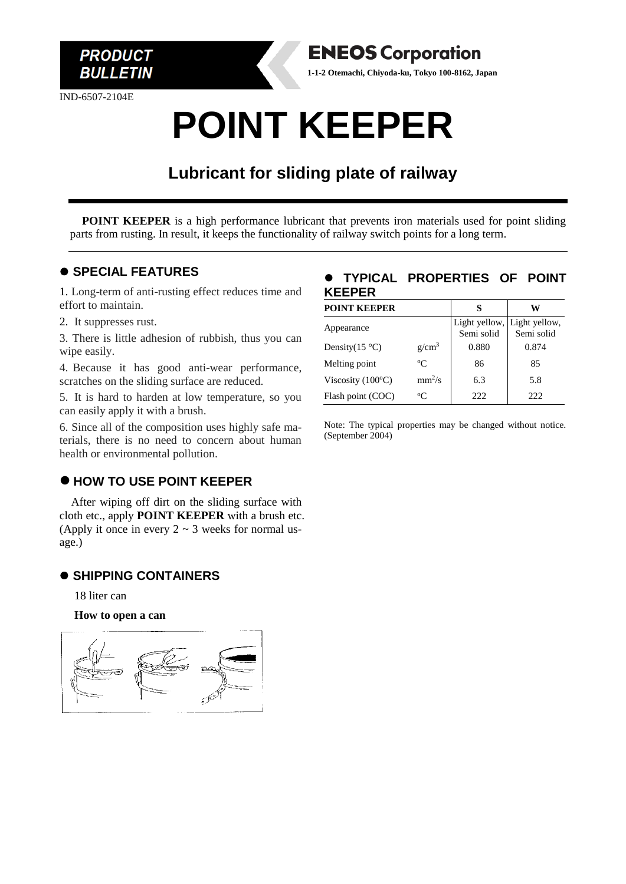

IND-6507-2104E



# **POINT KEEPER**

# **Lubricant for sliding plate of railway**

**POINT KEEPER** is a high performance lubricant that prevents iron materials used for point sliding parts from rusting. In result, it keeps the functionality of railway switch points for a long term.

## ⚫ **SPECIAL FEATURES**

1. Long-term of anti-rusting effect reduces time and effort to maintain.

2. It suppresses rust.

3. There is little adhesion of rubbish, thus you can wipe easily.

4. Because it has good anti-wear performance, scratches on the sliding surface are reduced.

5. It is hard to harden at low temperature, so you can easily apply it with a brush.

6. Since all of the composition uses highly safe materials, there is no need to concern about human health or environmental pollution.

# ⚫ **HOW TO USE POINT KEEPER**

After wiping off dirt on the sliding surface with cloth etc., apply **POINT KEEPER** with a brush etc. (Apply it once in every  $2 \sim 3$  weeks for normal usage.)

## ⚫ **SHIPPING CONTAINERS**

18 liter can

**How to open a can**



## ⚫ **TYPICAL PROPERTIES OF POINT KEEPER**

| <b>POINT KEEPER</b>        |                   | S                                         | w          |
|----------------------------|-------------------|-------------------------------------------|------------|
| Appearance                 |                   | Light yellow, Light yellow,<br>Semi solid | Semi solid |
| Density $(15^{\circ}C)$    | g/cm <sup>3</sup> | 0.880                                     | 0.874      |
| Melting point              | $\rm ^{o}C$       | 86                                        | 85         |
| Viscosity $(100^{\circ}C)$ | $mm^2/s$          | 6.3                                       | 5.8        |
| Flash point (COC)          | $\rm ^{o}C$       | 222                                       | 222        |

Note: The typical properties may be changed without notice. (September 2004)